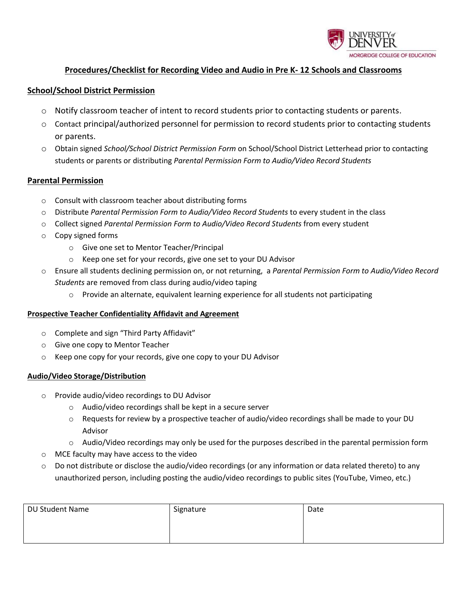

## **Procedures/Checklist for Recording Video and Audio in Pre K- 12 Schools and Classrooms**

### **School/School District Permission**

- o Notify classroom teacher of intent to record students prior to contacting students or parents.
- $\circ$  Contact principal/authorized personnel for permission to record students prior to contacting students or parents.
- o Obtain signed *School/School District Permission Form* on School/School District Letterhead prior to contacting students or parents or distributing *Parental Permission Form to Audio/Video Record Students*

### **Parental Permission**

- o Consult with classroom teacher about distributing forms
- o Distribute *Parental Permission Form to Audio/Video Record Students* to every student in the class
- o Collect signed *Parental Permission Form to Audio/Video Record Students* from every student
- o Copy signed forms
	- o Give one set to Mentor Teacher/Principal
	- o Keep one set for your records, give one set to your DU Advisor
- o Ensure all students declining permission on, or not returning, a *Parental Permission Form to Audio/Video Record Students* are removed from class during audio/video taping
	- $\circ$  Provide an alternate, equivalent learning experience for all students not participating

#### **Prospective Teacher Confidentiality Affidavit and Agreement**

- o Complete and sign "Third Party Affidavit"
- o Give one copy to Mentor Teacher
- o Keep one copy for your records, give one copy to your DU Advisor

#### **Audio/Video Storage/Distribution**

- o Provide audio/video recordings to DU Advisor
	- o Audio/video recordings shall be kept in a secure server
	- o Requests for review by a prospective teacher of audio/video recordings shall be made to your DU Advisor
	- o Audio/Video recordings may only be used for the purposes described in the parental permission form
- o MCE faculty may have access to the video
- o Do not distribute or disclose the audio/video recordings (or any information or data related thereto) to any unauthorized person, including posting the audio/video recordings to public sites (YouTube, Vimeo, etc.)

| DU Student Name | Signature | Date |
|-----------------|-----------|------|
|                 |           |      |
|                 |           |      |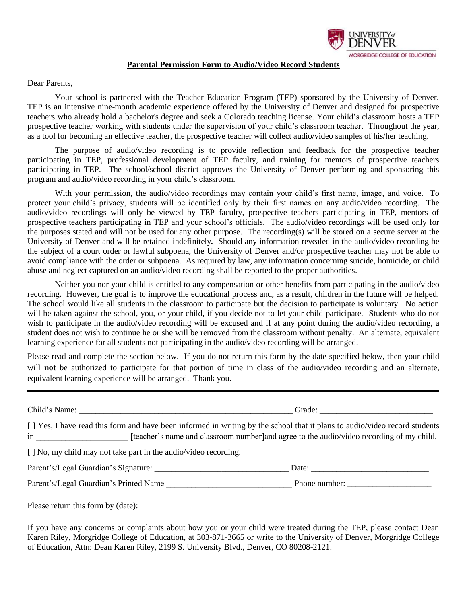

### **Parental Permission Form to Audio/Video Record Students**

Dear Parents,

Your school is partnered with the Teacher Education Program (TEP) sponsored by the University of Denver. TEP is an intensive nine-month academic experience offered by the University of Denver and designed for prospective teachers who already hold a bachelor's degree and seek a Colorado teaching license. Your child's classroom hosts a TEP prospective teacher working with students under the supervision of your child's classroom teacher. Throughout the year, as a tool for becoming an effective teacher, the prospective teacher will collect audio/video samples of his/her teaching.

The purpose of audio/video recording is to provide reflection and feedback for the prospective teacher participating in TEP, professional development of TEP faculty, and training for mentors of prospective teachers participating in TEP. The school/school district approves the University of Denver performing and sponsoring this program and audio/video recording in your child's classroom.

With your permission, the audio/video recordings may contain your child's first name, image, and voice. To protect your child's privacy, students will be identified only by their first names on any audio/video recording. The audio/video recordings will only be viewed by TEP faculty, prospective teachers participating in TEP, mentors of prospective teachers participating in TEP and your school's officials. The audio/video recordings will be used only for the purposes stated and will not be used for any other purpose. The recording(s) will be stored on a secure server at the University of Denver and will be retained indefinitely*.* Should any information revealed in the audio/video recording be the subject of a court order or lawful subpoena, the University of Denver and/or prospective teacher may not be able to avoid compliance with the order or subpoena. As required by law, any information concerning suicide, homicide, or child abuse and neglect captured on an audio/video recording shall be reported to the proper authorities.

Neither you nor your child is entitled to any compensation or other benefits from participating in the audio/video recording. However, the goal is to improve the educational process and, as a result, children in the future will be helped. The school would like all students in the classroom to participate but the decision to participate is voluntary. No action will be taken against the school, you, or your child, if you decide not to let your child participate. Students who do not wish to participate in the audio/video recording will be excused and if at any point during the audio/video recording, a student does not wish to continue he or she will be removed from the classroom without penalty. An alternate, equivalent learning experience for all students not participating in the audio/video recording will be arranged.

Please read and complete the section below. If you do not return this form by the date specified below, then your child will **not** be authorized to participate for that portion of time in class of the audio/video recording and an alternate, equivalent learning experience will be arranged. Thank you.

| [ ] Yes, I have read this form and have been informed in writing by the school that it plans to audio/video record students<br>in __________________________ [teacher's name and classroom number]and agree to the audio/video recording of my child. |               |
|-------------------------------------------------------------------------------------------------------------------------------------------------------------------------------------------------------------------------------------------------------|---------------|
| [ ] No, my child may not take part in the audio/video recording.                                                                                                                                                                                      |               |
|                                                                                                                                                                                                                                                       | Date:         |
| Parent's/Legal Guardian's Printed Name                                                                                                                                                                                                                | Phone number: |
|                                                                                                                                                                                                                                                       |               |

If you have any concerns or complaints about how you or your child were treated during the TEP, please contact Dean Karen Riley, Morgridge College of Education, at 303-871-3665 or write to the University of Denver, Morgridge College of Education, Attn: Dean Karen Riley, 2199 S. University Blvd., Denver, CO 80208-2121.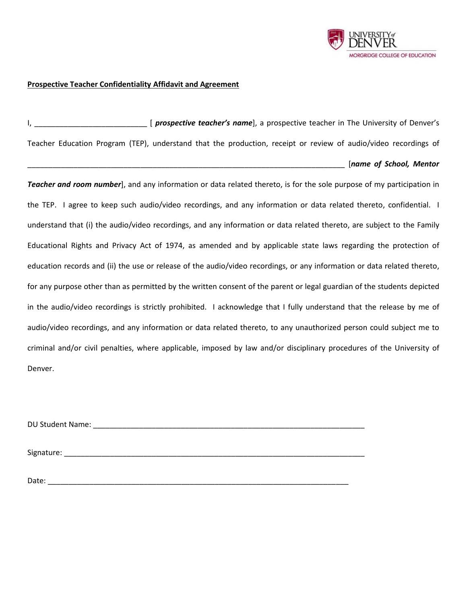

### **Prospective Teacher Confidentiality Affidavit and Agreement**

I, \_\_\_\_\_\_\_\_\_\_\_\_\_\_\_\_\_\_\_\_\_\_\_\_\_\_\_ [ *prospective teacher's name*], a prospective teacher in The University of Denver's Teacher Education Program (TEP), understand that the production, receipt or review of audio/video recordings of \_\_\_\_\_\_\_\_\_\_\_\_\_\_\_\_\_\_\_\_\_\_\_\_\_\_\_\_\_\_\_\_\_\_\_\_\_\_\_\_\_\_\_\_\_\_\_\_\_\_\_\_\_\_\_\_\_\_\_\_\_\_\_\_\_\_\_\_\_\_\_\_\_\_\_\_ [*name of School, Mentor* 

*Teacher and room number*], and any information or data related thereto, is for the sole purpose of my participation in the TEP. I agree to keep such audio/video recordings, and any information or data related thereto, confidential. I understand that (i) the audio/video recordings, and any information or data related thereto, are subject to the Family Educational Rights and Privacy Act of 1974, as amended and by applicable state laws regarding the protection of education records and (ii) the use or release of the audio/video recordings, or any information or data related thereto, for any purpose other than as permitted by the written consent of the parent or legal guardian of the students depicted in the audio/video recordings is strictly prohibited. I acknowledge that I fully understand that the release by me of audio/video recordings, and any information or data related thereto, to any unauthorized person could subject me to criminal and/or civil penalties, where applicable, imposed by law and/or disciplinary procedures of the University of Denver.

DU Student Name: **with a strategies of the strategies of the strategies of the strategies of the strategies of the strategies of the strategies of the strategies of the strategies of the strategies of the strategies of the** 

Signature:  $\Box$ 

Date: \_\_\_\_\_\_\_\_\_\_\_\_\_\_\_\_\_\_\_\_\_\_\_\_\_\_\_\_\_\_\_\_\_\_\_\_\_\_\_\_\_\_\_\_\_\_\_\_\_\_\_\_\_\_\_\_\_\_\_\_\_\_\_\_\_\_\_\_\_\_\_\_